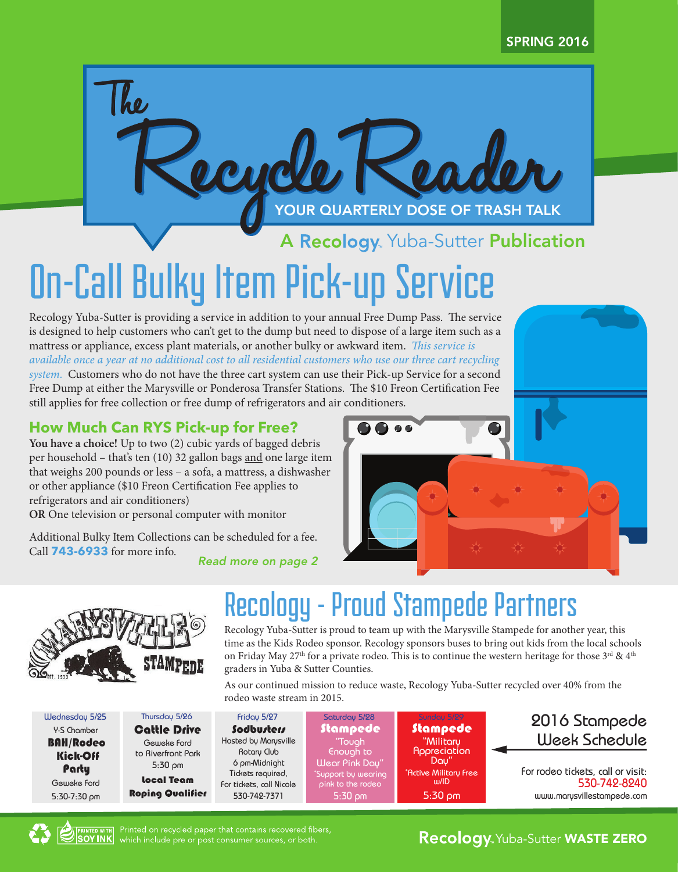# Recycle Reader The YOUR QUARTERLY DOSE OF TRASH TALK

A Recology Yuba-Sutter Publication

# On-Call Bulky Item Pick-up Service

Recology Yuba-Sutter is providing a service in addition to your annual Free Dump Pass. The service is designed to help customers who can't get to the dump but need to dispose of a large item such as a mattress or appliance, excess plant materials, or another bulky or awkward item. *This service is available once a year at no additional cost to all residential customers who use our three cart recycling system.* Customers who do not have the three cart system can use their Pick-up Service for a second Free Dump at either the Marysville or Ponderosa Transfer Stations. The \$10 Freon Certification Fee still applies for free collection or free dump of refrigerators and air conditioners.

#### **How Much Can RYS Pick-up for Free?**

**You have a choice!** Up to two (2) cubic yards of bagged debris per household – that's ten (10) 32 gallon bags and one large item that weighs 200 pounds or less – a sofa, a mattress, a dishwasher or other appliance (\$10 Freon Certification Fee applies to refrigerators and air conditioners)

**OR** One television or personal computer with monitor

Additional Bulky Item Collections can be scheduled for a fee. Call **743-6933** for more info.

Thursday 5/26

Geweke Ford Cattle Drive

to Riverfront Park 5:30 pm Local Team

*Read more on page 2*



| Wednesday 5/25   |
|------------------|
| Y-S Chamber      |
| <b>BAH/Rodeo</b> |
| Kick-Off         |
| Party            |
| Geweke Ford      |
| 5:30-7:30 pm     |

### Recology - Proud Stampede Partners

Recology Yuba-Sutter is proud to team up with the Marysville Stampede for another year, this time as the Kids Rodeo sponsor. Recology sponsors buses to bring out kids from the local schools on Friday May 27<sup>th</sup> for a private rodeo. This is to continue the western heritage for those 3<sup>rd</sup> & 4<sup>th</sup> graders in Yuba & Sutter Counties.

As our continued mission to reduce waste, Recology Yuba-Sutter recycled over 40% from the rodeo waste stream in 2015.

Roping Qualifier Friday 5/27 Sodbusters Hosted by Marysville Rotary Club 6 pm-Midnight Tickets required, For tickets, call Nicole 530-742-7371

```
Saturday 5/28
 Stampede "Tough
   Enough to
Wear Pink Day"
*
Support by wearing 
 pink to the rodeo 
    5:30 pm
```


| 2016 Stampede        |
|----------------------|
| <b>Week Schedule</b> |

For rodeo tickets, call or visit: 530-742-8240 www.marysvillestampede.com